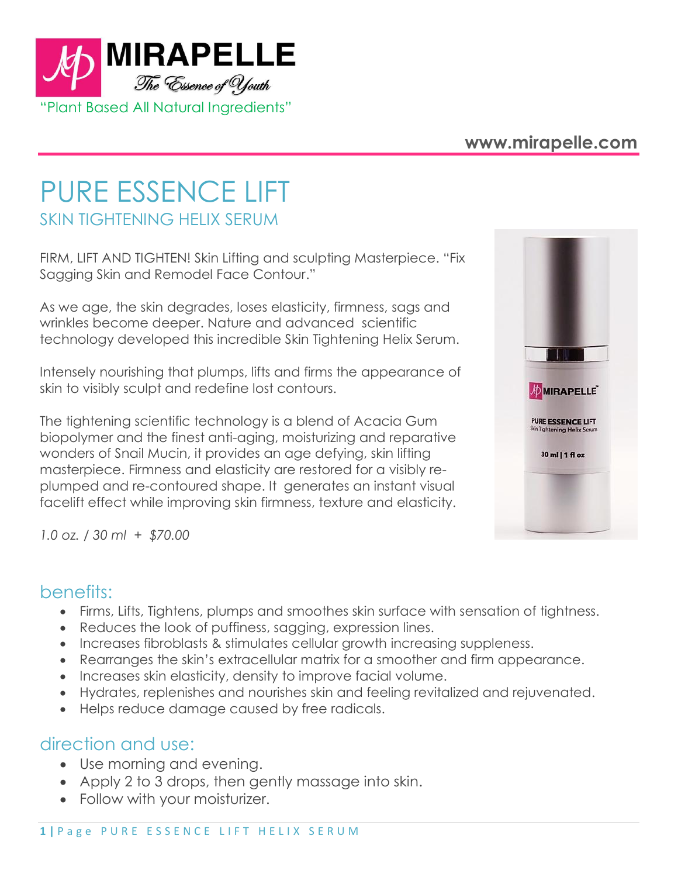

## **www.mirapelle.com**

# PURE ESSENCE LIFT SKIN TIGHTENING HELIX SERUM

FIRM, LIFT AND TIGHTEN! Skin Lifting and sculpting Masterpiece. "Fix Sagging Skin and Remodel Face Contour."

As we age, the skin degrades, loses elasticity, firmness, sags and wrinkles become deeper. Nature and advanced scientific technology developed this incredible Skin Tightening Helix Serum.

Intensely nourishing that plumps, lifts and firms the appearance of skin to visibly sculpt and redefine lost contours.

The tightening scientific technology is a blend of Acacia Gum biopolymer and the finest anti-aging, moisturizing and reparative wonders of Snail Mucin, it provides an age defying, skin lifting masterpiece. Firmness and elasticity are restored for a visibly replumped and re-contoured shape. It generates an instant visual facelift effect while improving skin firmness, texture and elasticity.



*1.0 oz. / 30 ml + \$70.00*

#### benefits:

- Firms, Lifts, Tightens, plumps and smoothes skin surface with sensation of tightness.
- Reduces the look of puffiness, sagging, expression lines.
- Increases fibroblasts & stimulates cellular growth increasing suppleness.
- Rearranges the skin's extracellular matrix for a smoother and firm appearance.
- Increases skin elasticity, density to improve facial volume.
- Hydrates, replenishes and nourishes skin and feeling revitalized and rejuvenated.
- Helps reduce damage caused by free radicals.

# direction and use:

- Use morning and evening.
- Apply 2 to 3 drops, then gently massage into skin.
- Follow with your moisturizer.